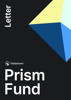

## Prism WYeldstreet<br> **Prism**<br>
Fund

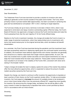



December 21, 2021

The Yieldstreet Prism Fund was launched to provide a solution to investors who were seeking to generate current income outside of the public bond market. The Fund, which primarily invests in private market debt opportunities, has been successful in achieving this goal and has distributed an annualized  $\sim8\%$ <sup>1</sup> in 2021, meeting its target objective.

Dear Shareholders,

The Fund was initially set up to have a terminal or end date in March 2024, when it was expected to wind down and repay investors outstanding capital. Effective today, the Fund's Board of Directors has approved a change to remove the Fund's terminal date and make the Fund a perpetual fund, like the vast majority of '40 Act funds offered today.

Relative to the Fund's investment mandate, this change will enable the Fund to invest in a wider range of potential investments, rather than being limited only to investments with terms that would mature prior to the original terminal date, which we believe will benefit shareholders.

As a reminder, the Prism Fund was launched during the pandemic and the investment team has been purposefully selective in deploying capital given the continued market uncertainty. In addition, the investment team believes opportunities with shorter maturities are generally less attractive on a relative value basis than longer maturity opportunities. As such, the team has invested more in public market securities (or more liquid investments) as a way to keep the Fund invested while the team stays selective. These public market investments have resulted in an increase in the volatility of the Fund's NAV, consistent with what we're seeing in the broader market.

Today's change will enable the team to deploy capital into areas of the market they believe offer the most attractive opportunities, which is expected to reduce the amount of public market securities owned by the Fund over time.

Despite the change, we intend to continue to offer investors the opportunity to liquidate at least a portion of their shares via the Fund's quarterly tender offers. To help accommodate investors, the Fund expects to **increase** the amount of available shares to be tendered in one or more future tender offers from the previously offered 5%<sup>2</sup>, supporting more liquidity for investors. By announcing this change today, we believe that we will be able to offer every investor to date the opportunity to liquidate their entire current portfolio by March 2024 in accordance with our initial mission.

Sincerely,

Yieldstreet